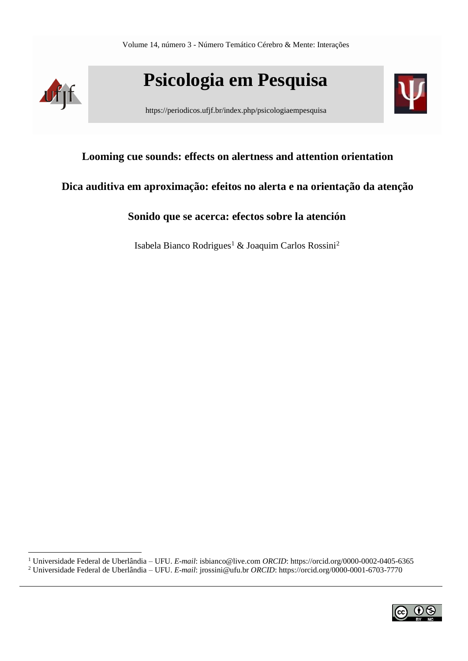

**Psicologia em Pesquisa**

https://periodicos.ufjf.br/index.php/psicologiaempesquisa



# **Looming cue sounds: effects on alertness and attention orientation**

# **Dica auditiva em aproximação: efeitos no alerta e na orientação da atenção**

# **Sonido que se acerca: efectos sobre la atención**

Isabela Bianco Rodrigues<sup>1</sup> & Joaquim Carlos Rossini<sup>2</sup>

<sup>1</sup> Universidade Federal de Uberlândia – UFU. *E-mail*: [isbianco@live.com](mailto:isbianco@live.com) *ORCID*[: https://orcid.org/0000-0002-0405-6365](https://orcid.org/0000-0002-0405-6365) <sup>2</sup> Universidade Federal de Uberlândia – UFU. *E-mail*: [jrossini@ufu.br](mailto:jrossini@ufu.br) *ORCID*:<https://orcid.org/0000-0001-6703-7770>

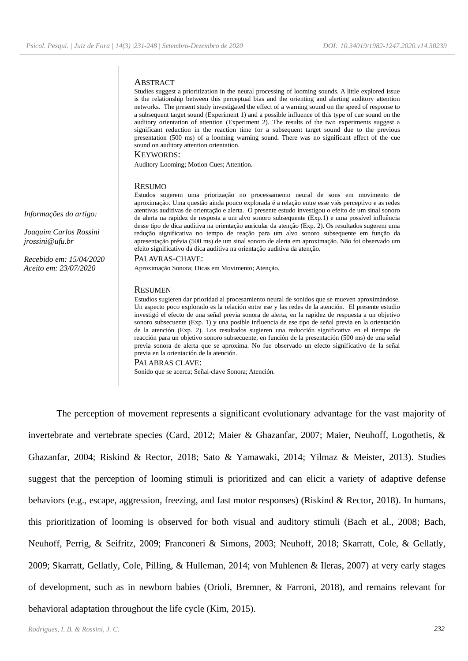#### **ABSTRACT**

Studies suggest a prioritization in the neural processing of looming sounds. A little explored issue is the relationship between this perceptual bias and the orienting and alerting auditory attention networks. The present study investigated the effect of a warning sound on the speed of response to a subsequent target sound (Experiment 1) and a possible influence of this type of cue sound on the auditory orientation of attention (Experiment 2). The results of the two experiments suggest a significant reduction in the reaction time for a subsequent target sound due to the previous presentation (500 ms) of a looming warning sound. There was no significant effect of the cue sound on auditory attention orientation.

KEYWORDS:

Auditory Looming; Motion Cues; Attention.

#### **RESUMO**

*Informações do artigo:*

*Joaquim Carlos Rossini [jrossini@ufu.br](mailto:jrossini@ufu.br)*

*Recebido em: 15/04/2020 Aceito em: 23/07/2020*

Estudos sugerem uma priorização no processamento neural de sons em movimento de aproximação. Uma questão ainda pouco explorada é a relação entre esse viés perceptivo e as redes atentivas auditivas de orientação e alerta. O presente estudo investigou o efeito de um sinal sonoro de alerta na rapidez de resposta a um alvo sonoro subsequente (Exp.1) e uma possível influência desse tipo de dica auditiva na orientação auricular da atenção (Exp. 2). Os resultados sugerem uma redução significativa no tempo de reação para um alvo sonoro subsequente em função da apresentação prévia (500 ms) de um sinal sonoro de alerta em aproximação. Não foi observado um efeito significativo da dica auditiva na orientação auditiva da atenção.

#### PALAVRAS-CHAVE:

Aproximação Sonora; Dicas em Movimento; Atenção.

#### **RESUMEN**

Estudios sugieren dar prioridad al procesamiento neural de sonidos que se mueven aproximándose. Un aspecto poco explorado es la relación entre ese y las redes de la atención. El presente estudio investigó el efecto de una señal previa sonora de alerta, en la rapidez de respuesta a un objetivo sonoro subsecuente (Exp. 1) y una posible influencia de ese tipo de señal previa en la orientación de la atención (Exp. 2). Los resultados sugieren una reducción significativa en el tiempo de reacción para un objetivo sonoro subsecuente, en función de la presentación (500 ms) de una señal previa sonora de alerta que se aproxima. No fue observado un efecto significativo de la señal previa en la orientación de la atención.

#### PALABRAS CLAVE:

Sonido que se acerca; Señal-clave Sonora; Atención.

The perception of movement represents a significant evolutionary advantage for the vast majority of invertebrate and vertebrate species (Card, 2012; Maier & Ghazanfar, 2007; Maier, Neuhoff, Logothetis, & Ghazanfar, 2004; Riskind & Rector, 2018; Sato & Yamawaki, 2014; Yilmaz & Meister, 2013). Studies suggest that the perception of looming stimuli is prioritized and can elicit a variety of adaptive defense behaviors (e.g., escape, aggression, freezing, and fast motor responses) (Riskind & Rector, 2018). In humans, this prioritization of looming is observed for both visual and auditory stimuli (Bach et al., 2008; Bach, Neuhoff, Perrig, & Seifritz, 2009; Franconeri & Simons, 2003; Neuhoff, 2018; Skarratt, Cole, & Gellatly, 2009; Skarratt, Gellatly, Cole, Pilling, & Hulleman, 2014; von Muhlenen & Ileras, 2007) at very early stages of development, such as in newborn babies (Orioli, Bremner, & Farroni, 2018), and remains relevant for behavioral adaptation throughout the life cycle (Kim, 2015).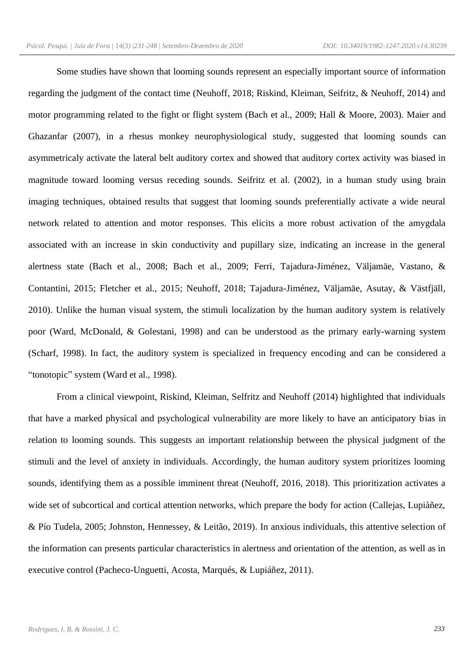Some studies have shown that looming sounds represent an especially important source of information regarding the judgment of the contact time (Neuhoff, 2018; Riskind, Kleiman, Seifritz, & Neuhoff, 2014) and motor programming related to the fight or flight system (Bach et al., 2009; Hall & Moore, 2003). Maier and Ghazanfar (2007), in a rhesus monkey neurophysiological study, suggested that looming sounds can asymmetricaly activate the lateral belt auditory cortex and showed that auditory cortex activity was biased in magnitude toward looming versus receding sounds. Seifritz et al. (2002), in a human study using brain imaging techniques, obtained results that suggest that looming sounds preferentially activate a wide neural network related to attention and motor responses. This elicits a more robust activation of the amygdala associated with an increase in skin conductivity and pupillary size, indicating an increase in the general alertness state (Bach et al., 2008; Bach et al., 2009; Ferri, Tajadura-Jiménez, Väljamäe, Vastano, & Contantini, 2015; Fletcher et al., 2015; Neuhoff, 2018; Tajadura-Jiménez, Väljamäe, Asutay, & Västfjäll, 2010). Unlike the human visual system, the stimuli localization by the human auditory system is relatively poor (Ward, McDonald, & Golestani, 1998) and can be understood as the primary early-warning system (Scharf, 1998). In fact, the auditory system is specialized in frequency encoding and can be considered a "tonotopic" system (Ward et al., 1998).

From a clinical viewpoint, Riskind, Kleiman, Selfritz and Neuhoff (2014) highlighted that individuals that have a marked physical and psychological vulnerability are more likely to have an anticipatory bias in relation to looming sounds. This suggests an important relationship between the physical judgment of the stimuli and the level of anxiety in individuals. Accordingly, the human auditory system prioritizes looming sounds, identifying them as a possible imminent threat (Neuhoff, 2016, 2018). This prioritization activates a wide set of subcortical and cortical attention networks, which prepare the body for action (Callejas, Lupiàñez, & Pío Tudela, 2005; Johnston, Hennessey, & Leitão, 2019). In anxious individuals, this attentive selection of the information can presents particular characteristics in alertness and orientation of the attention, as well as in executive control (Pacheco-Unguetti, Acosta, Marqués, & Lupiáñez, 2011).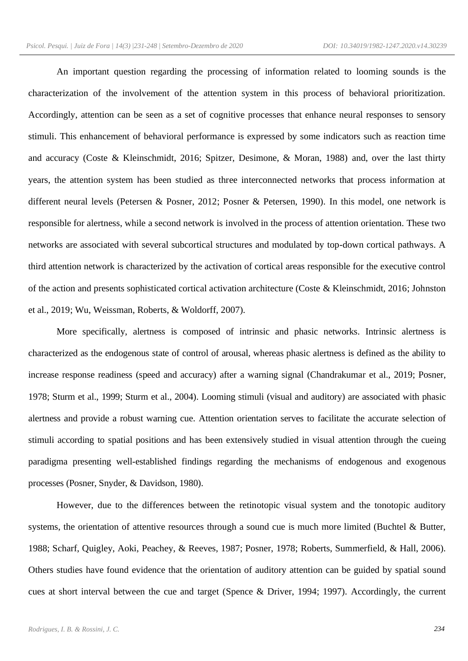An important question regarding the processing of information related to looming sounds is the characterization of the involvement of the attention system in this process of behavioral prioritization. Accordingly, attention can be seen as a set of cognitive processes that enhance neural responses to sensory stimuli. This enhancement of behavioral performance is expressed by some indicators such as reaction time and accuracy (Coste & Kleinschmidt, 2016; Spitzer, Desimone, & Moran, 1988) and, over the last thirty years, the attention system has been studied as three interconnected networks that process information at different neural levels (Petersen & Posner, 2012; Posner & Petersen, 1990). In this model, one network is responsible for alertness, while a second network is involved in the process of attention orientation. These two networks are associated with several subcortical structures and modulated by top-down cortical pathways. A third attention network is characterized by the activation of cortical areas responsible for the executive control of the action and presents sophisticated cortical activation architecture (Coste & Kleinschmidt, 2016; Johnston et al., 2019; Wu, Weissman, Roberts, & Woldorff, 2007).

More specifically, alertness is composed of intrinsic and phasic networks. Intrinsic alertness is characterized as the endogenous state of control of arousal, whereas phasic alertness is defined as the ability to increase response readiness (speed and accuracy) after a warning signal (Chandrakumar et al., 2019; Posner, 1978; Sturm et al., 1999; Sturm et al., 2004). Looming stimuli (visual and auditory) are associated with phasic alertness and provide a robust warning cue. Attention orientation serves to facilitate the accurate selection of stimuli according to spatial positions and has been extensively studied in visual attention through the cueing paradigma presenting well-established findings regarding the mechanisms of endogenous and exogenous processes (Posner, Snyder, & Davidson, 1980).

However, due to the differences between the retinotopic visual system and the tonotopic auditory systems, the orientation of attentive resources through a sound cue is much more limited (Buchtel & Butter, 1988; Scharf, Quigley, Aoki, Peachey, & Reeves, 1987; Posner, 1978; Roberts, Summerfield, & Hall, 2006). Others studies have found evidence that the orientation of auditory attention can be guided by spatial sound cues at short interval between the cue and target (Spence & Driver, 1994; 1997). Accordingly, the current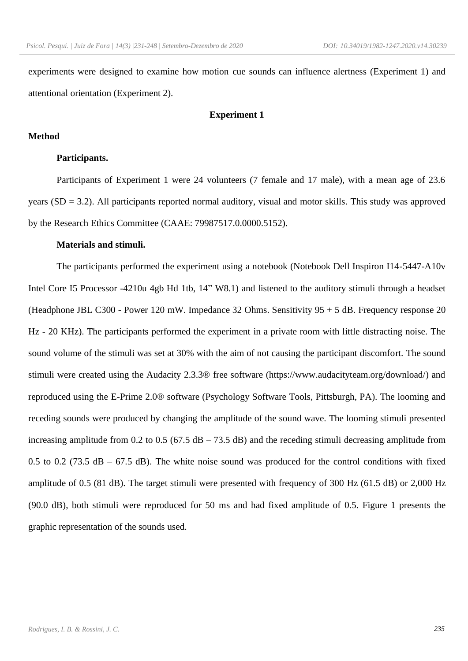experiments were designed to examine how motion cue sounds can influence alertness (Experiment 1) and attentional orientation (Experiment 2).

# **Experiment 1**

### **Method**

## **Participants.**

Participants of Experiment 1 were 24 volunteers (7 female and 17 male), with a mean age of 23.6 years (SD = 3.2). All participants reported normal auditory, visual and motor skills. This study was approved by the Research Ethics Committee (CAAE: 79987517.0.0000.5152).

### **Materials and stimuli.**

The participants performed the experiment using a notebook (Notebook Dell Inspiron I14-5447-A10v Intel Core I5 Processor -4210u 4gb Hd 1tb, 14" W8.1) and listened to the auditory stimuli through a headset (Headphone JBL C300 - Power 120 mW. Impedance 32 Ohms. Sensitivity 95 + 5 dB. Frequency response 20 Hz - 20 KHz). The participants performed the experiment in a private room with little distracting noise. The sound volume of the stimuli was set at 30% with the aim of not causing the participant discomfort. The sound stimuli were created using the Audacity 2.3.3® free software (https://www.audacityteam.org/download/) and reproduced using the E-Prime 2.0® software (Psychology Software Tools, Pittsburgh, PA). The looming and receding sounds were produced by changing the amplitude of the sound wave. The looming stimuli presented increasing amplitude from 0.2 to 0.5 (67.5  $\text{dB} - 73.5 \text{ dB}$ ) and the receding stimuli decreasing amplitude from 0.5 to 0.2 (73.5 dB – 67.5 dB). The white noise sound was produced for the control conditions with fixed amplitude of 0.5 (81 dB). The target stimuli were presented with frequency of 300 Hz (61.5 dB) or 2,000 Hz (90.0 dB), both stimuli were reproduced for 50 ms and had fixed amplitude of 0.5. Figure 1 presents the graphic representation of the sounds used.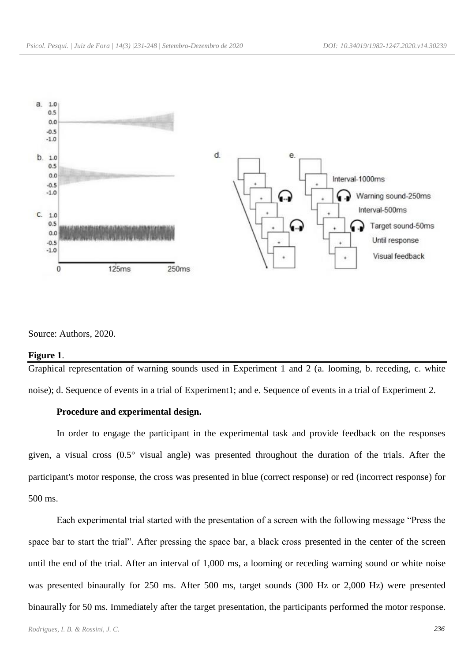

Source: Authors, 2020.

### **Figure 1**.

Graphical representation of warning sounds used in Experiment 1 and 2 (a. looming, b. receding, c. white noise); d. Sequence of events in a trial of Experiment1; and e. Sequence of events in a trial of Experiment 2.

## **Procedure and experimental design.**

In order to engage the participant in the experimental task and provide feedback on the responses given, a visual cross (0.5° visual angle) was presented throughout the duration of the trials. After the participant's motor response, the cross was presented in blue (correct response) or red (incorrect response) for 500 ms.

Each experimental trial started with the presentation of a screen with the following message "Press the space bar to start the trial". After pressing the space bar, a black cross presented in the center of the screen until the end of the trial. After an interval of 1,000 ms, a looming or receding warning sound or white noise was presented binaurally for 250 ms. After 500 ms, target sounds (300 Hz or 2,000 Hz) were presented binaurally for 50 ms. Immediately after the target presentation, the participants performed the motor response.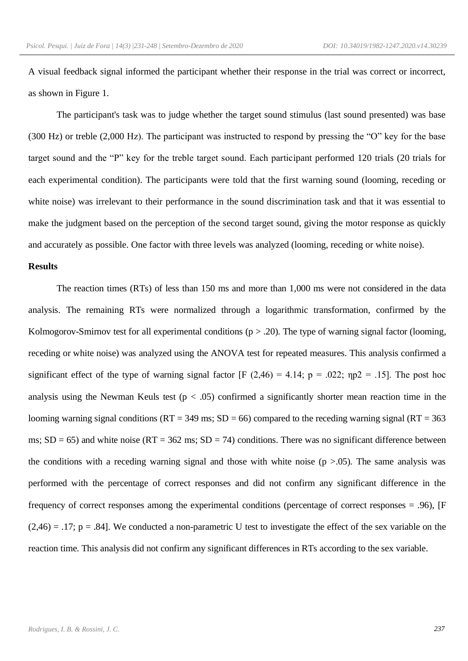A visual feedback signal informed the participant whether their response in the trial was correct or incorrect, as shown in Figure 1.

The participant's task was to judge whether the target sound stimulus (last sound presented) was base (300 Hz) or treble (2,000 Hz). The participant was instructed to respond by pressing the "O" key for the base target sound and the "P" key for the treble target sound. Each participant performed 120 trials (20 trials for each experimental condition). The participants were told that the first warning sound (looming, receding or white noise) was irrelevant to their performance in the sound discrimination task and that it was essential to make the judgment based on the perception of the second target sound, giving the motor response as quickly and accurately as possible. One factor with three levels was analyzed (looming, receding or white noise).

### **Results**

The reaction times (RTs) of less than 150 ms and more than 1,000 ms were not considered in the data analysis. The remaining RTs were normalized through a logarithmic transformation, confirmed by the Kolmogorov-Smirnov test for all experimental conditions ( $p > .20$ ). The type of warning signal factor (looming, receding or white noise) was analyzed using the ANOVA test for repeated measures. This analysis confirmed a significant effect of the type of warning signal factor  $[F (2,46) = 4.14; p = .022; \eta p2 = .15]$ . The post hoc analysis using the Newman Keuls test ( $p < .05$ ) confirmed a significantly shorter mean reaction time in the looming warning signal conditions  $(RT = 349 \text{ ms}; SD = 66)$  compared to the receding warning signal  $(RT = 363 \text{ s})$ ms;  $SD = 65$ ) and white noise ( $RT = 362$  ms;  $SD = 74$ ) conditions. There was no significant difference between the conditions with a receding warning signal and those with white noise  $(p > .05)$ . The same analysis was performed with the percentage of correct responses and did not confirm any significant difference in the frequency of correct responses among the experimental conditions (percentage of correct responses = .96), [F  $(2,46) = .17$ ; p = .84]. We conducted a non-parametric U test to investigate the effect of the sex variable on the reaction time. This analysis did not confirm any significant differences in RTs according to the sex variable.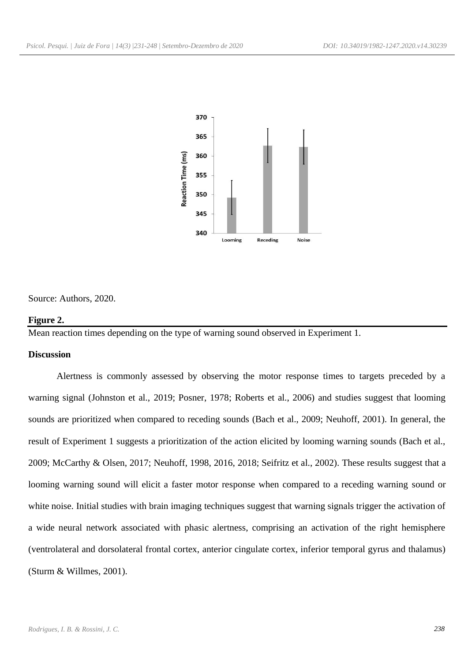

Source: Authors, 2020.

#### **Figure 2.**

Mean reaction times depending on the type of warning sound observed in Experiment 1.

### **Discussion**

Alertness is commonly assessed by observing the motor response times to targets preceded by a warning signal (Johnston et al., 2019; Posner, 1978; Roberts et al., 2006) and studies suggest that looming sounds are prioritized when compared to receding sounds (Bach et al., 2009; Neuhoff, 2001). In general, the result of Experiment 1 suggests a prioritization of the action elicited by looming warning sounds (Bach et al., 2009; McCarthy & Olsen, 2017; Neuhoff, 1998, 2016, 2018; Seifritz et al., 2002). These results suggest that a looming warning sound will elicit a faster motor response when compared to a receding warning sound or white noise. Initial studies with brain imaging techniques suggest that warning signals trigger the activation of a wide neural network associated with phasic alertness, comprising an activation of the right hemisphere (ventrolateral and dorsolateral frontal cortex, anterior cingulate cortex, inferior temporal gyrus and thalamus) (Sturm & Willmes, 2001).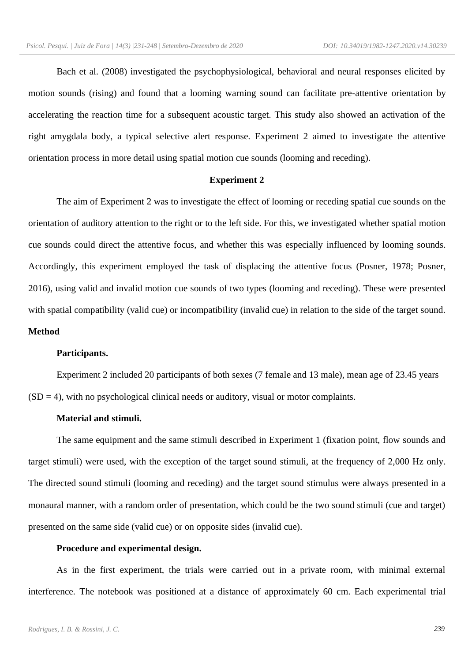Bach et al. (2008) investigated the psychophysiological, behavioral and neural responses elicited by motion sounds (rising) and found that a looming warning sound can facilitate pre-attentive orientation by accelerating the reaction time for a subsequent acoustic target. This study also showed an activation of the right amygdala body, a typical selective alert response. Experiment 2 aimed to investigate the attentive orientation process in more detail using spatial motion cue sounds (looming and receding).

## **Experiment 2**

The aim of Experiment 2 was to investigate the effect of looming or receding spatial cue sounds on the orientation of auditory attention to the right or to the left side. For this, we investigated whether spatial motion cue sounds could direct the attentive focus, and whether this was especially influenced by looming sounds. Accordingly, this experiment employed the task of displacing the attentive focus (Posner, 1978; Posner, 2016), using valid and invalid motion cue sounds of two types (looming and receding). These were presented with spatial compatibility (valid cue) or incompatibility (invalid cue) in relation to the side of the target sound. **Method**

# **Participants.**

Experiment 2 included 20 participants of both sexes (7 female and 13 male), mean age of 23.45 years  $(SD = 4)$ , with no psychological clinical needs or auditory, visual or motor complaints.

# **Material and stimuli.**

The same equipment and the same stimuli described in Experiment 1 (fixation point, flow sounds and target stimuli) were used, with the exception of the target sound stimuli, at the frequency of 2,000 Hz only. The directed sound stimuli (looming and receding) and the target sound stimulus were always presented in a monaural manner, with a random order of presentation, which could be the two sound stimuli (cue and target) presented on the same side (valid cue) or on opposite sides (invalid cue).

### **Procedure and experimental design.**

As in the first experiment, the trials were carried out in a private room, with minimal external interference. The notebook was positioned at a distance of approximately 60 cm. Each experimental trial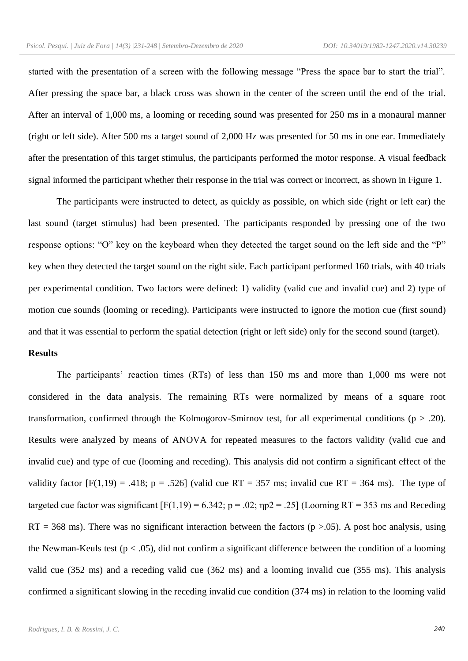started with the presentation of a screen with the following message "Press the space bar to start the trial". After pressing the space bar, a black cross was shown in the center of the screen until the end of the trial. After an interval of 1,000 ms, a looming or receding sound was presented for 250 ms in a monaural manner (right or left side). After 500 ms a target sound of 2,000 Hz was presented for 50 ms in one ear. Immediately after the presentation of this target stimulus, the participants performed the motor response. A visual feedback signal informed the participant whether their response in the trial was correct or incorrect, as shown in Figure 1.

The participants were instructed to detect, as quickly as possible, on which side (right or left ear) the last sound (target stimulus) had been presented. The participants responded by pressing one of the two response options: "O" key on the keyboard when they detected the target sound on the left side and the "P" key when they detected the target sound on the right side. Each participant performed 160 trials, with 40 trials per experimental condition. Two factors were defined: 1) validity (valid cue and invalid cue) and 2) type of motion cue sounds (looming or receding). Participants were instructed to ignore the motion cue (first sound) and that it was essential to perform the spatial detection (right or left side) only for the second sound (target).

# **Results**

The participants' reaction times (RTs) of less than 150 ms and more than 1,000 ms were not considered in the data analysis. The remaining RTs were normalized by means of a square root transformation, confirmed through the Kolmogorov-Smirnov test, for all experimental conditions ( $p > .20$ ). Results were analyzed by means of ANOVA for repeated measures to the factors validity (valid cue and invalid cue) and type of cue (looming and receding). This analysis did not confirm a significant effect of the validity factor  $[F(1,19) = .418; p = .526]$  (valid cue RT = 357 ms; invalid cue RT = 364 ms). The type of targeted cue factor was significant  $[F(1,19) = 6.342; p = .02; \eta p2 = .25]$  (Looming RT = 353 ms and Receding  $RT = 368$  ms). There was no significant interaction between the factors (p >.05). A post hoc analysis, using the Newman-Keuls test ( $p < .05$ ), did not confirm a significant difference between the condition of a looming valid cue (352 ms) and a receding valid cue (362 ms) and a looming invalid cue (355 ms). This analysis confirmed a significant slowing in the receding invalid cue condition (374 ms) in relation to the looming valid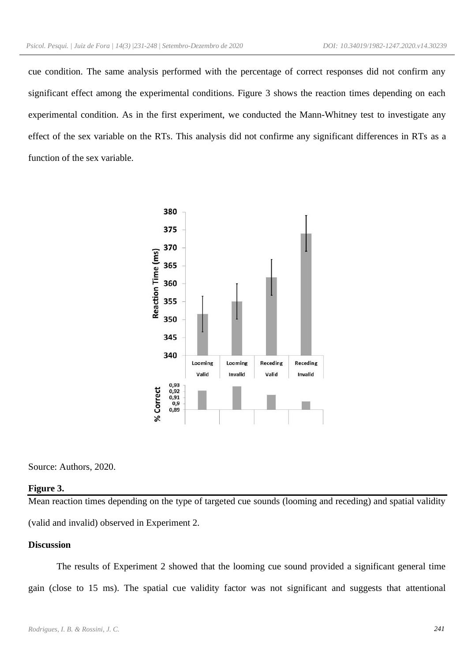cue condition. The same analysis performed with the percentage of correct responses did not confirm any significant effect among the experimental conditions. Figure 3 shows the reaction times depending on each experimental condition. As in the first experiment, we conducted the Mann-Whitney test to investigate any effect of the sex variable on the RTs. This analysis did not confirme any significant differences in RTs as a function of the sex variable.



Source: Authors, 2020.

#### **Figure 3.**

Mean reaction times depending on the type of targeted cue sounds (looming and receding) and spatial validity (valid and invalid) observed in Experiment 2.

## **Discussion**

The results of Experiment 2 showed that the looming cue sound provided a significant general time gain (close to 15 ms). The spatial cue validity factor was not significant and suggests that attentional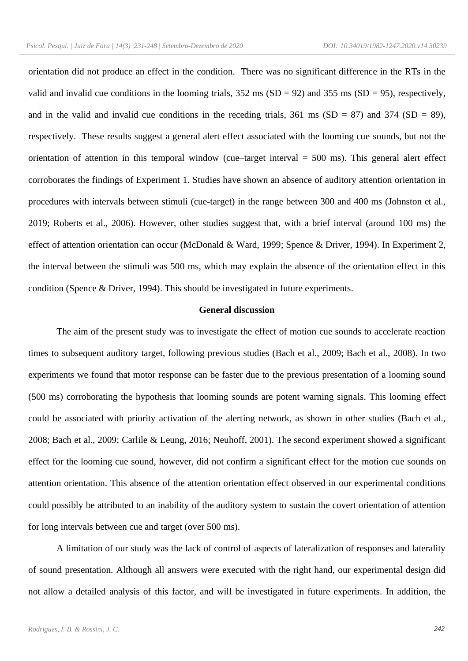orientation did not produce an effect in the condition. There was no significant difference in the RTs in the valid and invalid cue conditions in the looming trials,  $352 \text{ ms (SD} = 92)$  and  $355 \text{ ms (SD} = 95)$ , respectively, and in the valid and invalid cue conditions in the receding trials,  $361 \text{ ms}$  (SD = 87) and  $374$  (SD = 89), respectively. These results suggest a general alert effect associated with the looming cue sounds, but not the orientation of attention in this temporal window (cue–target interval  $= 500$  ms). This general alert effect corroborates the findings of Experiment 1. Studies have shown an absence of auditory attention orientation in procedures with intervals between stimuli (cue-target) in the range between 300 and 400 ms (Johnston et al., 2019; Roberts et al., 2006). However, other studies suggest that, with a brief interval (around 100 ms) the effect of attention orientation can occur (McDonald & Ward, 1999; Spence & Driver, 1994). In Experiment 2, the interval between the stimuli was 500 ms, which may explain the absence of the orientation effect in this condition (Spence & Driver, 1994). This should be investigated in future experiments.

## **General discussion**

The aim of the present study was to investigate the effect of motion cue sounds to accelerate reaction times to subsequent auditory target, following previous studies (Bach et al., 2009; Bach et al., 2008). In two experiments we found that motor response can be faster due to the previous presentation of a looming sound (500 ms) corroborating the hypothesis that looming sounds are potent warning signals. This looming effect could be associated with priority activation of the alerting network, as shown in other studies (Bach et al., 2008; Bach et al., 2009; Carlile & Leung, 2016; Neuhoff, 2001). The second experiment showed a significant effect for the looming cue sound, however, did not confirm a significant effect for the motion cue sounds on attention orientation. This absence of the attention orientation effect observed in our experimental conditions could possibly be attributed to an inability of the auditory system to sustain the covert orientation of attention for long intervals between cue and target (over 500 ms).

A limitation of our study was the lack of control of aspects of lateralization of responses and laterality of sound presentation. Although all answers were executed with the right hand, our experimental design did not allow a detailed analysis of this factor, and will be investigated in future experiments. In addition, the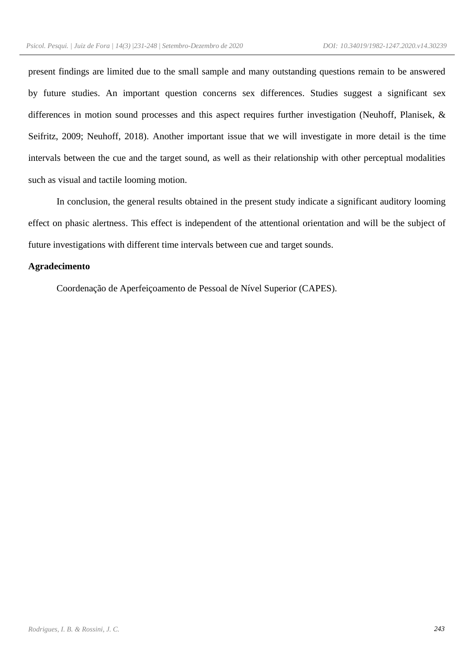present findings are limited due to the small sample and many outstanding questions remain to be answered by future studies. An important question concerns sex differences. Studies suggest a significant sex differences in motion sound processes and this aspect requires further investigation (Neuhoff, Planisek, & Seifritz, 2009; Neuhoff, 2018). Another important issue that we will investigate in more detail is the time intervals between the cue and the target sound, as well as their relationship with other perceptual modalities such as visual and tactile looming motion.

In conclusion, the general results obtained in the present study indicate a significant auditory looming effect on phasic alertness. This effect is independent of the attentional orientation and will be the subject of future investigations with different time intervals between cue and target sounds.

## **Agradecimento**

Coordenação de Aperfeiçoamento de Pessoal de Nível Superior (CAPES).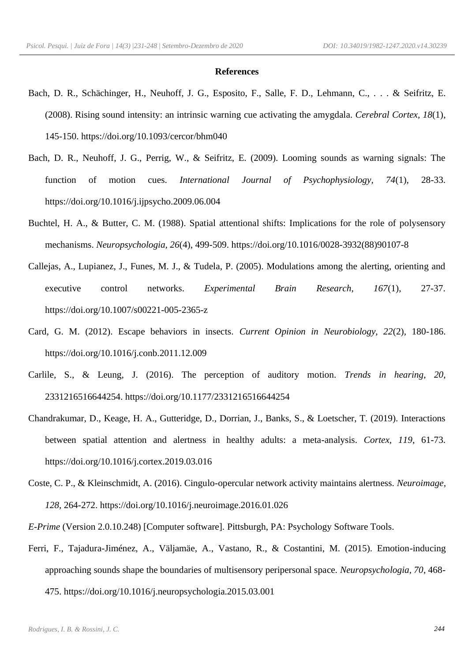#### **References**

- Bach, D. R., Schächinger, H., Neuhoff, J. G., Esposito, F., Salle, F. D., Lehmann, C., . . . & Seifritz, E. (2008). Rising sound intensity: an intrinsic warning cue activating the amygdala*. Cerebral Cortex, 18*(1), 145-150. https://doi.org/10.1093/cercor/bhm040
- Bach, D. R., Neuhoff, J. G., Perrig, W., & Seifritz, E. (2009). Looming sounds as warning signals: The function of motion cues. *International Journal of Psychophysiology, 74*(1), 28-33. https://doi.org/10.1016/j.ijpsycho.2009.06.004
- Buchtel, H. A., & Butter, C. M. (1988). Spatial attentional shifts: Implications for the role of polysensory mechanisms. *Neuropsychologia, 26*(4), 499-509. https://doi.org/10.1016/0028-3932(88)90107-8
- Callejas, A., Lupianez, J., Funes, M. J., & Tudela, P. (2005). Modulations among the alerting, orienting and executive control networks. *Experimental Brain Research, 167*(1), 27-37. https://doi.org/10.1007/s00221-005-2365-z
- Card, G. M. (2012). Escape behaviors in insects. *Current Opinion in Neurobiology, 22*(2), 180-186. https://doi.org/10.1016/j.conb.2011.12.009
- Carlile, S., & Leung, J. (2016). The perception of auditory motion. *Trends in hearing*, *20*, 2331216516644254. https://doi.org/10.1177/2331216516644254
- Chandrakumar, D., Keage, H. A., Gutteridge, D., Dorrian, J., Banks, S., & Loetscher, T. (2019). Interactions between spatial attention and alertness in healthy adults: a meta-analysis. *Cortex, 119*, 61-73. https://doi.org/10.1016/j.cortex.2019.03.016
- Coste, C. P., & Kleinschmidt, A. (2016). Cingulo-opercular network activity maintains alertness. *Neuroimage, 128*, 264-272. https://doi.org/10.1016/j.neuroimage.2016.01.026
- *E-Prime* (Version 2.0.10.248) [Computer software]. Pittsburgh, PA: Psychology Software Tools.
- Ferri, F., Tajadura-Jiménez, A., Väljamäe, A., Vastano, R., & Costantini, M. (2015). Emotion-inducing approaching sounds shape the boundaries of multisensory peripersonal space. *Neuropsychologia, 70*, 468- 475. https://doi.org/10.1016/j.neuropsychologia.2015.03.001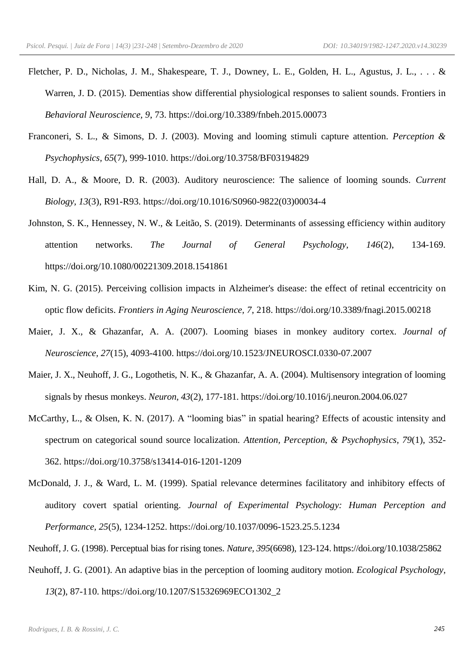- Fletcher, P. D., Nicholas, J. M., Shakespeare, T. J., Downey, L. E., Golden, H. L., Agustus, J. L., . . . & Warren, J. D. (2015). Dementias show differential physiological responses to salient sounds. Frontiers in *Behavioral Neuroscience, 9*, 73. https://doi.org/10.3389/fnbeh.2015.00073
- Franconeri, S. L., & Simons, D. J. (2003). Moving and looming stimuli capture attention. *Perception & Psychophysics, 65*(7), 999-1010. https://doi.org/10.3758/BF03194829
- Hall, D. A., & Moore, D. R. (2003). Auditory neuroscience: The salience of looming sounds. *Current Biology, 13*(3), R91-R93. https://doi.org/10.1016/S0960-9822(03)00034-4
- Johnston, S. K., Hennessey, N. W., & Leitão, S. (2019). Determinants of assessing efficiency within auditory attention networks. *The Journal of General Psychology, 146*(2), 134-169. https://doi.org/10.1080/00221309.2018.1541861
- Kim, N. G. (2015). Perceiving collision impacts in Alzheimer's disease: the effect of retinal eccentricity on optic flow deficits. *Frontiers in Aging Neuroscience, 7*, 218. https://doi.org/10.3389/fnagi.2015.00218
- Maier, J. X., & Ghazanfar, A. A. (2007). Looming biases in monkey auditory cortex. *Journal of Neuroscience, 27*(15), 4093-4100. https://doi.org/10.1523/JNEUROSCI.0330-07.2007
- Maier, J. X., Neuhoff, J. G., Logothetis, N. K., & Ghazanfar, A. A. (2004). Multisensory integration of looming signals by rhesus monkeys. *Neuron, 43*(2), 177-181. https://doi.org/10.1016/j.neuron.2004.06.027
- McCarthy, L., & Olsen, K. N. (2017). A "looming bias" in spatial hearing? Effects of acoustic intensity and spectrum on categorical sound source localization. *Attention, Perception, & Psychophysics, 79*(1), 352- 362. https://doi.org/10.3758/s13414-016-1201-1209
- McDonald, J. J., & Ward, L. M. (1999). Spatial relevance determines facilitatory and inhibitory effects of auditory covert spatial orienting. *Journal of Experimental Psychology: Human Perception and Performance, 25*(5), 1234-1252. https://doi.org/10.1037/0096-1523.25.5.1234
- Neuhoff, J. G. (1998). Perceptual bias for rising tones. *Nature, 395*(6698), 123-124. https://doi.org/10.1038/25862
- Neuhoff, J. G. (2001). An adaptive bias in the perception of looming auditory motion. *Ecological Psychology,*

*13*(2), 87-110. https://doi.org/10.1207/S15326969ECO1302\_2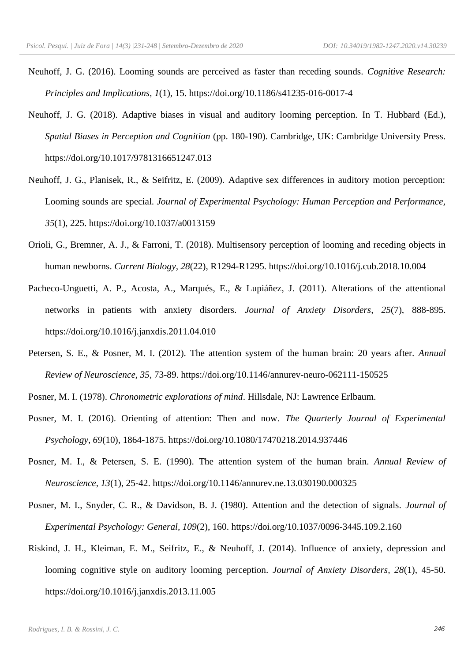- Neuhoff, J. G. (2016). Looming sounds are perceived as faster than receding sounds. *Cognitive Research: Principles and Implications, 1*(1), 15. https://doi.org/10.1186/s41235-016-0017-4
- Neuhoff, J. G. (2018). Adaptive biases in visual and auditory looming perception. In T. Hubbard (Ed.), *Spatial Biases in Perception and Cognition* (pp. 180-190). Cambridge, UK: Cambridge University Press. https://doi.org/10.1017/9781316651247.013
- Neuhoff, J. G., Planisek, R., & Seifritz, E. (2009). Adaptive sex differences in auditory motion perception: Looming sounds are special. *Journal of Experimental Psychology: Human Perception and Performance, 35*(1), 225. https://doi.org/10.1037/a0013159
- Orioli, G., Bremner, A. J., & Farroni, T. (2018). Multisensory perception of looming and receding objects in human newborns. *Current Biology, 28*(22), R1294-R1295. https://doi.org/10.1016/j.cub.2018.10.004
- Pacheco-Unguetti, A. P., Acosta, A., Marqués, E., & Lupiáñez, J. (2011). Alterations of the attentional networks in patients with anxiety disorders. *Journal of Anxiety Disorders, 25*(7), 888-895. https://doi.org/10.1016/j.janxdis.2011.04.010
- Petersen, S. E., & Posner, M. I. (2012). The attention system of the human brain: 20 years after. *Annual Review of Neuroscience, 35*, 73-89. https://doi.org/10.1146/annurev-neuro-062111-150525
- Posner, M. I. (1978). *Chronometric explorations of mind*. Hillsdale, NJ: Lawrence Erlbaum.
- Posner, M. I. (2016). Orienting of attention: Then and now. *The Quarterly Journal of Experimental Psychology, 69*(10), 1864-1875. https://doi.org/10.1080/17470218.2014.937446
- Posner, M. I., & Petersen, S. E. (1990). The attention system of the human brain. *Annual Review of Neuroscience, 13*(1), 25-42. https://doi.org/10.1146/annurev.ne.13.030190.000325
- Posner, M. I., Snyder, C. R., & Davidson, B. J. (1980). Attention and the detection of signals. *Journal of Experimental Psychology: General, 109*(2), 160. https://doi.org/10.1037/0096-3445.109.2.160
- Riskind, J. H., Kleiman, E. M., Seifritz, E., & Neuhoff, J. (2014). Influence of anxiety, depression and looming cognitive style on auditory looming perception. *Journal of Anxiety Disorders, 28*(1), 45-50. https://doi.org/10.1016/j.janxdis.2013.11.005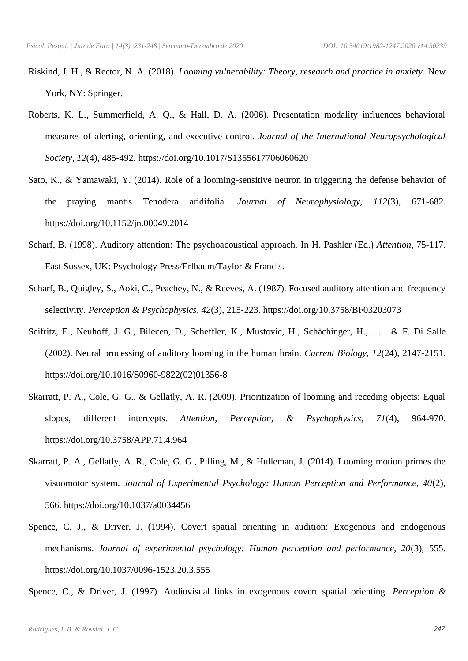- Riskind, J. H., & Rector, N. A. (2018). *Looming vulnerability: Theory, research and practice in anxiety*. New York, NY: Springer.
- Roberts, K. L., Summerfield, A. Q., & Hall, D. A. (2006). Presentation modality influences behavioral measures of alerting, orienting, and executive control. *Journal of the International Neuropsychological Society, 12*(4), 485-492. https://doi.org/10.1017/S1355617706060620
- Sato, K., & Yamawaki, Y. (2014). Role of a looming-sensitive neuron in triggering the defense behavior of the praying mantis Tenodera aridifolia. *Journal of Neurophysiology, 112*(3), 671-682. https://doi.org/10.1152/jn.00049.2014
- Scharf, B. (1998). Auditory attention: The psychoacoustical approach. In H. Pashler (Ed.) *Attention*, 75-117. East Sussex, UK: Psychology Press/Erlbaum/Taylor & Francis.
- Scharf, B., Quigley, S., Aoki, C., Peachey, N., & Reeves, A. (1987). Focused auditory attention and frequency selectivity. *Perception & Psychophysics, 42*(3), 215-223. https://doi.org/10.3758/BF03203073
- Seifritz, E., Neuhoff, J. G., Bilecen, D., Scheffler, K., Mustovic, H., Schächinger, H., . . . & F. Di Salle (2002). Neural processing of auditory looming in the human brain. *Current Biology, 12*(24), 2147-2151. https://doi.org/10.1016/S0960-9822(02)01356-8
- Skarratt, P. A., Cole, G. G., & Gellatly, A. R. (2009). Prioritization of looming and receding objects: Equal slopes, different intercepts. *Attention, Perception, & Psychophysics, 71*(4), 964-970. https://doi.org/10.3758/APP.71.4.964
- Skarratt, P. A., Gellatly, A. R., Cole, G. G., Pilling, M., & Hulleman, J. (2014). Looming motion primes the visuomotor system. *Journal of Experimental Psychology: Human Perception and Performance, 40*(2), 566. https://doi.org/10.1037/a0034456
- Spence, C. J., & Driver, J. (1994). Covert spatial orienting in audition: Exogenous and endogenous mechanisms. *Journal of experimental psychology: Human perception and performance, 20*(3), 555. https://doi.org/10.1037/0096-1523.20.3.555

Spence, C., & Driver, J. (1997). Audiovisual links in exogenous covert spatial orienting. *Perception &*